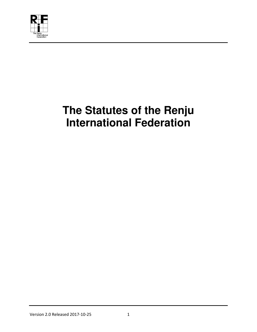

# **The Statutes of the Renju International Federation**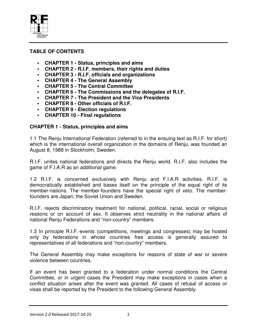

### **TABLE OF CONTENTS**

- **CHAPTER 1 Status, principles and aims**
- **CHAPTER 2 R.I.F. members, their rights and duties**
- **CHAPTER 3 R.I.F. officials and organizations**
- **CHAPTER 4 The General Assembly**
- **CHAPTER 5 The Central Committee**
- **CHAPTER 6 The Commissions and the delegates of R.I.F.**
- **CHAPTER 7 The President and the Vice Presidents**
- **CHAPTER 8 Other officials of R.I.F.**
- **CHAPTER 9 Election regulations**
- **CHAPTER 10 Final regulations**

#### **CHAPTER 1 - Status, principles and aims**

1.1 The Renju International Federation (referred to in the ensuing text as R.I.F. for short) which is the international overall organization in the domains of Renju, was founded an August 8, 1988 in Stockholm, Sweden.

R.I.F. unites national federations and directs the Renju world. R.I.F. also includes the game of F.I.A.R as an additional game.

1.2 R.I.F. is concerned exclusively with Renju and F.I.A.R activities. R.I.F. is democratically established and bases itself on the principle of the equal right of its member-nations. The member-founders have the special right of veto. The memberfounders are Japan, the Soviet Union and Sweden.

R.I.F. rejects discriminatory treatment for national, political, racial, social or religious reasons or on account of sex. It observes strict neutrality in the national affairs of national Renju Federations and "non-country" members.

1.3 In principle R.I.F.-events (competitions, meetings and congresses) may be hosted only by federations in whose countries free access is generally assured to representatives of all federations and "non-country" members.

The General Assembly may make exceptions for reasons of state of war or severe violence between countries.

If an event has been granted to a federation under normal conditions the Central Committee, or in urgent cases the President may make exceptions in cases when a conflict situation arises after the event was granted. All cases of refusal of access or visas shall be reported by the President to the following General Assembly.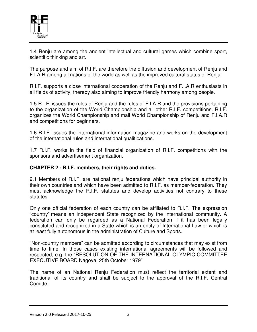

1.4 Renju are among the ancient intellectual and cultural games which combine sport, scientific thinking and art.

The purpose and aim of R.I.F. are therefore the diffusion and development of Renju and F.I.A.R among all nations of the world as well as the improved cultural status of Renju.

R.I.F. supports a close international cooperation of the Renju and F.I.A.R enthusiasts in all fields of activity, thereby also aiming to improve friendly harmony among people.

1.5 R.I.F. issues the rules of Renju and the rules of F.I.A.R and the provisions pertaining to the organization of the World Championship and all other R.I.F. competitions. R.I.F. organizes the World Championship and mail World Championship of Renju and F.I.A.R and competitions for beginners.

1.6 R.I.F. issues the international information magazine and works on the development of the international rules and international qualifications.

1.7 R.I.F. works in the field of financial organization of R.I.F. competitions with the sponsors and advertisement organization.

#### **CHAPTER 2 - R.I.F. members, their rights and duties.**

2.1 Members of R.I.F. are national renju federations which have principal authority in their own countries and which have been admitted to R.I.F. as member-federation. They must acknowledge the R.I.F. statutes and develop activities not contrary to these statutes.

Only one official federation of each country can be affiliated to R.I.F. The expression "country" means an independent State recognized by the international community. A federation can only be regarded as a National Federation if it has been legally constituted and recognized in a State which is an entity of International Law or which is at least fully autonomous in the administration of Culture and Sports.

"Non-country members" can be admitted according to circumstances that may exist from time to time. In those cases existing international agreements will be followed and respected, e.g. the "RESOLUTION OF THE INTERNATIONAL OLYMPIC COMMITTEE EXECUTIVE BOARD Nagoya, 25th October 1979"

The name of an National Renju Federation must reflect the territorial extent and traditional of its country and shall be subject to the approval of the R.I.F. Central Comitte.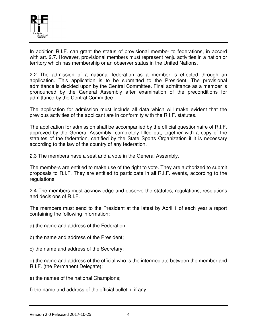

In addition R.I.F. can grant the status of provisional member to federations, in accord with art. 2.7. However, provisional members must represent renju activities in a nation or territory which has membership or an observer status in the United Nations.

2.2 The admission of a national federation as a member is effected through an application. This application is to be submitted to the President. The provisional admittance is decided upon by the Central Committee. Final admittance as a member is pronounced by the General Assembly after examination of the preconditions for admittance by the Central Committee.

The application for admission must include all data which will make evident that the previous activities of the applicant are in conformity with the R.I.F. statutes.

The application for admission shall be accompanied by the official questionnaire of R.I.F. approved by the General Assembly, completely filled out, together with a copy of the statutes of the federation, certified by the State Sports Organization if it is necessary according to the law of the country of any federation.

2.3 The members have a seat and a vote in the General Assembly.

The members are entitled to make use of the right to vote. They are authorized to submit proposals to R.I.F. They are entitled to participate in all R.I.F. events, according to the regulations.

2.4 The members must acknowledge and observe the statutes, regulations, resolutions and decisions of R.I.F.

The members must send to the President at the latest by April 1 of each year a report containing the following information:

- a) the name and address of the Federation;
- b) the name and address of the President;
- c) the name and address of the Secretary;

d) the name and address of the official who is the intermediate between the member and R.I.F. (the Permanent Delegate);

e) the names of the national Champions;

f) the name and address of the official bulletin, if any;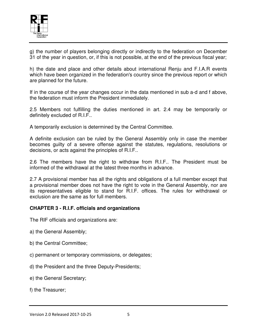

g) the number of players belonging directly or indirectly to the federation on December 31 of the year in question, or, if this is not possible, at the end of the previous fiscal year;

h) the date and place and other details about international Renju and F.I.A.R events which have been organized in the federation's country since the previous report or which are planned for the future.

If in the course of the year changes occur in the data mentioned in sub a-d and f above, the federation must inform the President immediately.

2.5 Members not fulfilling the duties mentioned in art. 2.4 may be temporarily or definitely excluded of R.I.F..

A temporarily exclusion is determined by the Central Committee.

A definite exclusion can be ruled by the General Assembly only in case the member becomes guilty of a severe offense against the statutes, regulations, resolutions or decisions, or acts against the principles of R.I.F..

2.6 The members have the right to withdraw from R.I.F.. The President must be informed of the withdrawal at the latest three months in advance.

2.7 A provisional member has all the rights and obligations of a full member except that a provisional member does not have the right to vote in the General Assembly, nor are its representatives eligible to stand for R.I.F. offices. The rules for withdrawal or exclusion are the same as for full members.

#### **CHAPTER 3 - R.I.F. officials and organizations**

The RIF officials and organizations are:

- a) the General Assembly;
- b) the Central Committee;
- c) permanent or temporary commissions, or delegates;
- d) the President and the three Deputy-Presidents;
- e) the General Secretary;
- f) the Treasurer;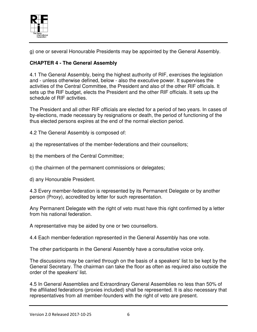

g) one or several Honourable Presidents may be appointed by the General Assembly.

# **CHAPTER 4 - The General Assembly**

4.1 The General Assembly, being the highest authority of RIF, exercises the legislation and - unless otherwise defined, below - also the executive power. It supervises the activities of the Central Committee, the President and also of the other RIF officials. It sets up the RIF budget, elects the President and the other RIF officials. It sets up the schedule of RIF activities.

The President and all other RIF officials are elected for a period of two years. In cases of by-elections, made necessary by resignations or death, the period of functioning of the thus elected persons expires at the end of the normal election period.

4.2 The General Assembly is composed of:

a) the representatives of the member-federations and their counsellors;

b) the members of the Central Committee;

c) the chairmen of the permanent commissions or delegates;

d) any Honourable President.

4.3 Every member-federation is represented by its Permanent Delegate or by another person (Proxy), accredited by letter for such representation.

Any Permanent Delegate with the right of veto must have this right confirmed by a letter from his national federation.

A representative may be aided by one or two counsellors.

4.4 Each member-federation represented in the General Assembly has one vote.

The other participants in the General Assembly have a consultative voice only.

The discussions may be carried through on the basis of a speakers' list to be kept by the General Secretary. The chairman can take the floor as often as required also outside the order of the speakers' list.

4.5 In General Assemblies and Extraordinary General Assemblies no less than 50% of the affiliated federations (proxies included) shall be represented. It is also necessary that representatives from all member-founders with the right of veto are present.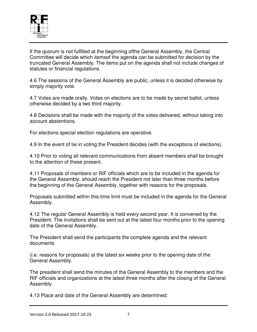

If the quorum is not fulfilled at the beginning ofthe General Assembly, the Central Committee will decide which itemsof the agenda can be submitted for decision by the truncated General Assembly. The items put on the agenda shall not include changes of statutes or financial regulations.

4.6 The sessions of the General Assembly are public, unless it is decided otherwise by simply majority vote.

4.7 Votes are made orally. Votes on elections are to be made by secret ballot, unless otherwise decided by a two third majority.

4.8 Decisions shall be made with the majority of the votes delivered, without taking into account abstentions.

For elections special election regulations are operative.

4.9 In the event of tie in voting the President decides (with the exceptions of elections).

4.10 Prior to voting all relevant communications from absent members shall be brought to the attention of these present.

4.11 Proposals of members or RIF officials which are to be included in the agenda for the General Assembly, should reach the President not later than three months before the beginning of the General Assembly, together with reasons for the proposals.

Proposals submitted within this time limit must be included in the agenda for the General Assembly.

4.12 The regular General Assembly is held every second year. It is convened by the President. The invitations shall be sent out at the latest four months prior to the opening date of the General Assembly.

The President shall send the participants the complete agenda and the relevant documents

(i.e. reasons for proposals) at the latest six weeks prior to the opening date of the General Assembly.

The president shall send the minutes of the General Assembly to the members and the RIF officials and organizations at the latest three months after the closing of the General Assembly.

4.13 Place and date of the General Assembly are determined: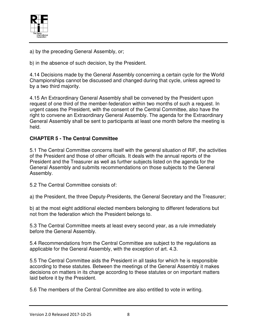

a) by the preceding General Assembly, or;

b) in the absence of such decision, by the President.

4.14 Decisions made by the General Assembly concerning a certain cycle for the World Championships cannot be discussed and changed during that cycle, unless agreed to by a two third majority.

4.15 An Extraordinary General Assembly shall be convened by the President upon request of one third of the member-federation within two months of such a request. In urgent cases the President, with the consent of the Central Committee, also have the right to convene an Extraordinary General Assembly. The agenda for the Extraordinary General Assembly shall be sent to participants at least one month before the meeting is held.

#### **CHAPTER 5 - The Central Committee**

5.1 The Central Committee concerns itself with the general situation of RIF, the activities of the President and those of other officials. It deals with the annual reports of the President and the Treasurer as well as further subjects listed on the agenda for the General Assembly and submits recommendations on those subjects to the General Assembly.

5.2 The Central Committee consists of:

a) the President, the three Deputy-Presidents, the General Secretary and the Treasurer;

b) at the most eight additional elected members belonging to different federations but not from the federation which the President belongs to.

5.3 The Central Committee meets at least every second year, as a rule immediately before the General Assembly.

5.4 Recommendations from the Central Committee are subject to the regulations as applicable for the General Assembly, with the exception of art. 4.3.

5.5 The Central Committee aids the President in all tasks for which he is responsible according to these statutes. Between the meetings of the General Assembly it makes decisions on matters in its charge according to these statutes or on important matters laid before it by the President.

5.6 The members of the Central Committee are also entitled to vote in writing.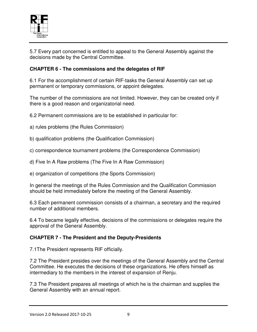

5.7 Every part concerned is entitled to appeal to the General Assembly against the decisions made by the Central Committee.

## **CHAPTER 6 - The commissions and the delegates of RIF**

6.1 For the accomplishment of certain RIF-tasks the General Assembly can set up permanent or temporary commissions, or appoint delegates.

The number of the commissions are not limited. However, they can be created only if there is a good reason and organizatorial need.

6.2 Permanent commissions are to be established in particular for:

a) rules problems (the Rules Commission)

b) qualification problems (the Qualification Commission)

c) correspondence tournament problems (the Correspondence Commission)

d) Five In A Raw problems (The Five In A Raw Commission)

e) organization of competitions (the Sports Commission)

In general the meetings of the Rules Commission and the Qualification Commission should be held immediately before the meeting of the General Assembly.

6.3 Each permanent commission consists of a chairman, a secretary and the required number of additional members.

6.4 To became legally effective, decisions of the commissions or delegates require the approval of the General Assembly.

#### **CHAPTER 7 - The President and the Deputy-Presidents**

7.1The President represents RIF officially.

7.2 The President presides over the meetings of the General Assembly and the Central Committee. He executes the decisions of these organizations. He offers himself as intermediary to the members in the interest of expansion of Renju.

7.3 The President prepares all meetings of which he is the chairman and supplies the General Assembly with an annual report.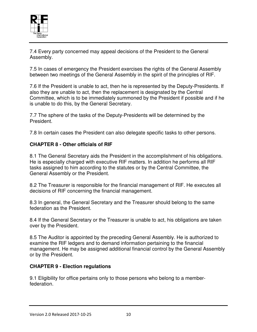

7.4 Every party concerned may appeal decisions of the President to the General Assembly.

7.5 In cases of emergency the President exercises the rights of the General Assembly between two meetings of the General Assembly in the spirit of the principles of RIF.

7.6 If the President is unable to act, then he is represented by the Deputy-Presidents. If also they are unable to act, then the replacement is designated by the Central Committee, which is to be immediately summoned by the President if possible and if he is unable to do this, by the General Secretary.

7.7 The sphere of the tasks of the Deputy-Presidents will be determined by the President.

7.8 In certain cases the President can also delegate specific tasks to other persons.

#### **CHAPTER 8 - Other officials of RIF**

8.1 The General Secretary aids the President in the accomplishment of his obligations. He is especially charged with executive RIF matters. In addition he performs all RIF tasks assigned to him according to the statutes or by the Central Committee, the General Assembly or the President.

8.2 The Treasurer is responsible for the financial management of RIF. He executes all decisions of RIF concerning the financial management.

8.3 In general, the General Secretary and the Treasurer should belong to the same federation as the President.

8.4 If the General Secretary or the Treasurer is unable to act, his obligations are taken over by the President.

8.5 The Auditor is appointed by the preceding General Assembly. He is authorized to examine the RIF ledgers and to demand information pertaining to the financial management. He may be assigned additional financial control by the General Assembly or by the President.

#### **CHAPTER 9 - Election regulations**

9.1 Eligibility for office pertains only to those persons who belong to a memberfederation.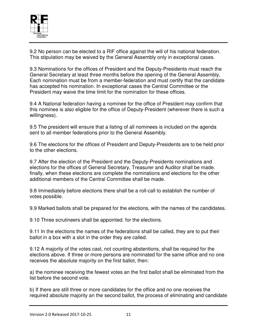

9.2 No person can be elected to a RIF office against the will of his national federation. This stipulation may be waived by the General Assembly only in exceptional cases.

9.3 Nominations for the offices of President and the Deputy-Presidents must reach the General Secretary at least three months before the opening of the General Assembly, Each nomination must be from a member-federation and must certify that the candidate has accepted his nomination. In exceptional cases the Central Committee or the President may waive the time limit for the nomination for these offices.

9.4 A National federation having a nominee for the office of President may confirm that this nominee is also eligible for the office of Deputy-President (wherever there is such a willingness).

9.5 The president will ensure that a listing of all nominees is included on the agenda sent to all member federations prior to the General Assembly.

9.6 The elections for the offices of President and Deputy-Presidents are to be held prior to the other elections.

9.7 After the election of the President and the Deputy-Presidents nominations and elections for the offices of General Secretary, Treasurer and Auditor shall be made. finally, when these elections are complete the nominations and elections for the other additional members of the Central Committee shall be made.

9.8 Immediately before elections there shall be a roll-call to establish the number of votes possible.

9.9 Marked ballots shall be prepared for the elections, with the names of the candidates.

9.10 Three scrutineers shall be appointed. for the elections.

9.11 In the elections the names of the federations shall be called, they are to put their ballot in a box with a slot in the order they are called.

9.12 A majority of the votes cast, not counting abstentions, shall be required for the elections above. If three or more persons are nominated for the same office and no one receives the absolute majority on the first ballot, then:

a) the nominee receiving the fewest votes an the first ballot shall be eliminated from the list before the second vote.

b) If there are still three or more candidates for the office and no one receives the required absolute majority an the second ballot, the process of eliminating and candidate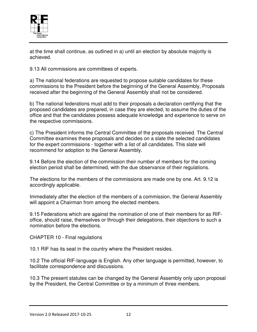

at the time shall continue, as outlined in a) until an election by absolute majority is achieved.

9.13 All commissions are committees of experts.

a) The national federations are requested to propose suitable candidates for these commissions to the President before the beginning of the General Assembly, Proposals received after the beginning of the General Assembly shall not be considered.

b) The national federations must add to their proposals a declaration certifying that the proposed candidates are prepared, in case they are elected, to assume the duties of the office and that the candidates possess adequate knowledge and experience to serve on the respective commissions.

c) The President informs the Central Committee of the proposals received. The Central Committee examines these proposals and decides on a slate the selected candidates for the expert commissions - together with a list of all candidates. This slate will recommend for adoption to the General Assembly.

9.14 Before the election of the commission their number of members for the coming election period shall be determined, with the due observance of their regulations.

The elections for the members of the commissions are made one by one. Art. 9.12 is accordingly applicable.

Immediately after the election of the members of a commission, the General Assembly will appoint a Chairman from among the elected members.

9.15 Federations which are against the nomination of one of their members for as RIFoffice, should raise, themselves or through their delegations, their objections to such a nomination before the elections.

CHAPTER 10 - Final regulations

10.1 RIF has its seat in the country where the President resides.

10.2 The official RIF-language is English. Any other language is permitted, however, to facilitate correspondence and discussions.

10.3 The present statutes can be changed by the General Assembly only upon proposal by the President, the Central Committee or by a minimum of three members.